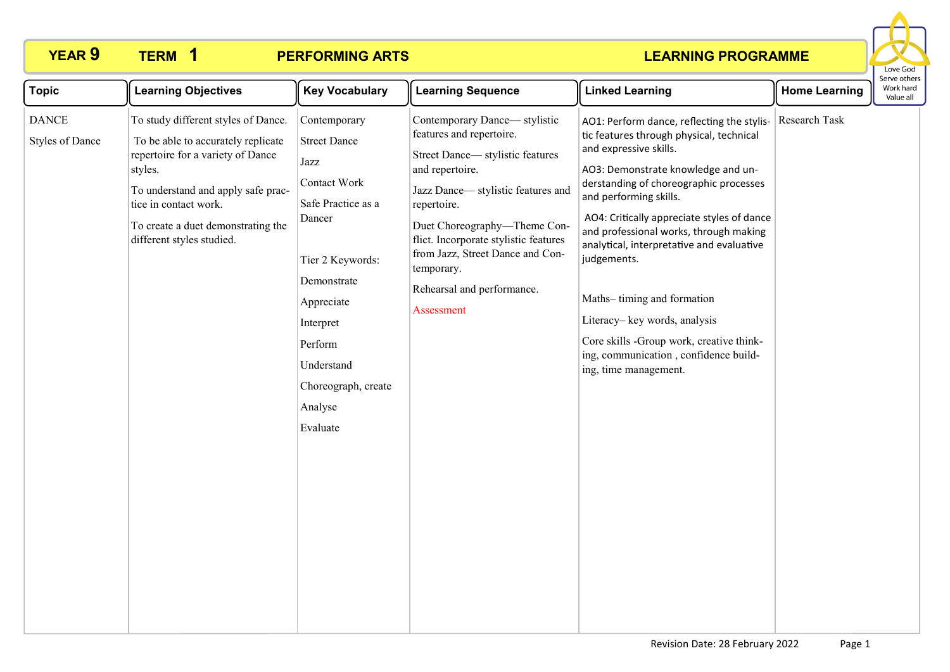# **YEAR 9 TERM 1 PERFORMING ARTS**



| <b>Topic</b>                           | <b>Learning Objectives</b>                                                                                                                                                                                                                                  | <b>Key Vocabulary</b>                                                                                                                                                                                                            | <b>Learning Sequence</b>                                                                                                                                                                                                                                                                                                                   | <b>Linked Learning</b>                                                                                                                                                                                                                                                                                                                                                                                                                                                                                                                                     | <b>Home Learning</b> | Serve other<br>Work hard<br>Value all |
|----------------------------------------|-------------------------------------------------------------------------------------------------------------------------------------------------------------------------------------------------------------------------------------------------------------|----------------------------------------------------------------------------------------------------------------------------------------------------------------------------------------------------------------------------------|--------------------------------------------------------------------------------------------------------------------------------------------------------------------------------------------------------------------------------------------------------------------------------------------------------------------------------------------|------------------------------------------------------------------------------------------------------------------------------------------------------------------------------------------------------------------------------------------------------------------------------------------------------------------------------------------------------------------------------------------------------------------------------------------------------------------------------------------------------------------------------------------------------------|----------------------|---------------------------------------|
| <b>DANCE</b><br><b>Styles of Dance</b> | To study different styles of Dance.<br>To be able to accurately replicate<br>repertoire for a variety of Dance<br>styles.<br>To understand and apply safe prac-<br>tice in contact work.<br>To create a duet demonstrating the<br>different styles studied. | Contemporary<br><b>Street Dance</b><br>Jazz<br>Contact Work<br>Safe Practice as a<br>Dancer<br>Tier 2 Keywords:<br>Demonstrate<br>Appreciate<br>Interpret<br>Perform<br>Understand<br>Choreograph, create<br>Analyse<br>Evaluate | Contemporary Dance— stylistic<br>features and repertoire.<br>Street Dance-stylistic features<br>and repertoire.<br>Jazz Dance-stylistic features and<br>repertoire.<br>Duet Choreography-Theme Con-<br>flict. Incorporate stylistic features<br>from Jazz, Street Dance and Con-<br>temporary.<br>Rehearsal and performance.<br>Assessment | AO1: Perform dance, reflecting the stylis-<br>tic features through physical, technical<br>and expressive skills.<br>AO3: Demonstrate knowledge and un-<br>derstanding of choreographic processes<br>and performing skills.<br>AO4: Critically appreciate styles of dance<br>and professional works, through making<br>analytical, interpretative and evaluative<br>judgements.<br>Maths-timing and formation<br>Literacy-key words, analysis<br>Core skills -Group work, creative think-<br>ing, communication, confidence build-<br>ing, time management. | Research Task        |                                       |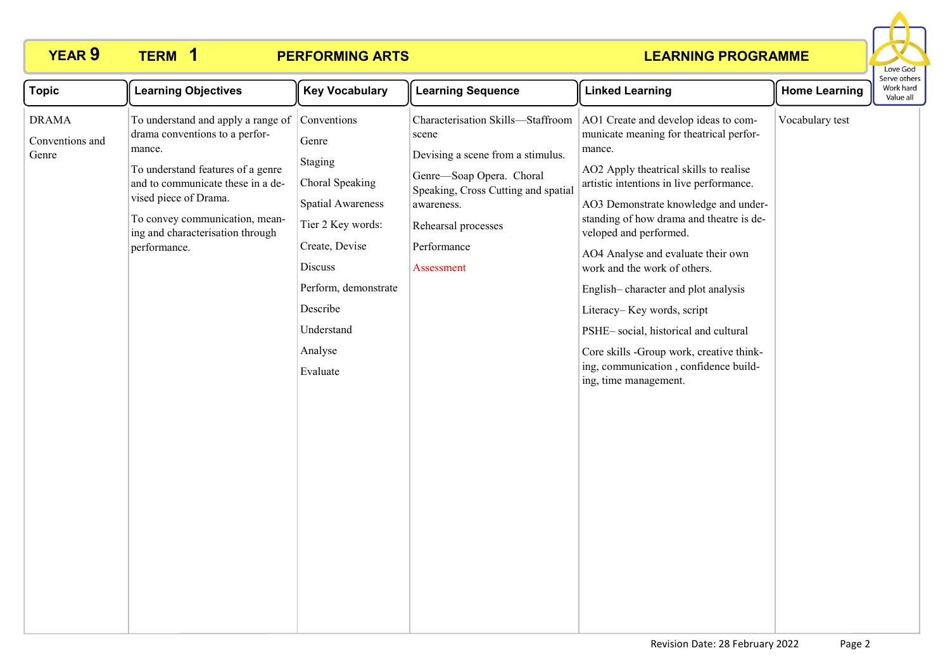## **YEAR 9 TERM 1 PERFORMING ARTS**



| <b>Topic</b>                             | <b>Learning Objectives</b>                                                                                                                                                                                                                                              | <b>Key Vocabulary</b>                                                                                                                                                                                     | <b>Learning Sequence</b>                                                                                                                                                                                             | <b>Linked Learning</b>                                                                                                                                                                                                                                                                                                                                                                                                                                                                                                                                                                         | <b>Home Learning</b> | Serve othel<br>Work hard<br>Value all |
|------------------------------------------|-------------------------------------------------------------------------------------------------------------------------------------------------------------------------------------------------------------------------------------------------------------------------|-----------------------------------------------------------------------------------------------------------------------------------------------------------------------------------------------------------|----------------------------------------------------------------------------------------------------------------------------------------------------------------------------------------------------------------------|------------------------------------------------------------------------------------------------------------------------------------------------------------------------------------------------------------------------------------------------------------------------------------------------------------------------------------------------------------------------------------------------------------------------------------------------------------------------------------------------------------------------------------------------------------------------------------------------|----------------------|---------------------------------------|
| <b>DRAMA</b><br>Conventions and<br>Genre | To understand and apply a range of<br>drama conventions to a perfor-<br>mance.<br>To understand features of a genre<br>and to communicate these in a de-<br>vised piece of Drama.<br>To convey communication, mean-<br>ing and characterisation through<br>performance. | Conventions<br>Genre<br>Staging<br>Choral Speaking<br><b>Spatial Awareness</b><br>Tier 2 Key words:<br>Create, Devise<br>Discuss<br>Perform, demonstrate<br>Describe<br>Understand<br>Analyse<br>Evaluate | Characterisation Skills-Staffroom<br>scene<br>Devising a scene from a stimulus.<br>Genre-Soap Opera. Choral<br>Speaking, Cross Cutting and spatial<br>awareness.<br>Rehearsal processes<br>Performance<br>Assessment | AO1 Create and develop ideas to com-<br>municate meaning for theatrical perfor-<br>mance.<br>AO2 Apply theatrical skills to realise<br>artistic intentions in live performance.<br>AO3 Demonstrate knowledge and under-<br>standing of how drama and theatre is de-<br>veloped and performed.<br>AO4 Analyse and evaluate their own<br>work and the work of others.<br>English-character and plot analysis<br>Literacy-Key words, script<br>PSHE-social, historical and cultural<br>Core skills -Group work, creative think-<br>ing, communication, confidence build-<br>ing, time management. | Vocabulary test      |                                       |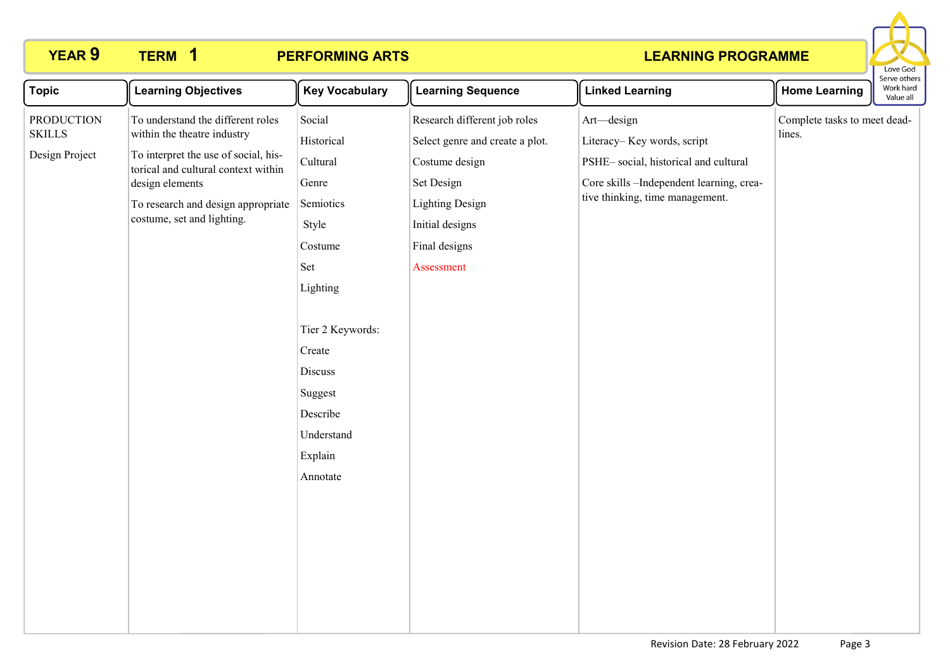# **YEAR 9 TERM 1 PERFORMING ARTS**



| <b>Topic</b><br><b>Learning Objectives</b><br><b>Key Vocabulary</b><br><b>Learning Sequence</b><br><b>Linked Learning</b><br><b>Home Learning</b>                                                                                                                                                                                                                                                                                                                                                                                                                                                                                                                                                                                                                                                                                                                                                |  | בו אב סנווכו א<br>Work hard<br>Value all |  |  |
|--------------------------------------------------------------------------------------------------------------------------------------------------------------------------------------------------------------------------------------------------------------------------------------------------------------------------------------------------------------------------------------------------------------------------------------------------------------------------------------------------------------------------------------------------------------------------------------------------------------------------------------------------------------------------------------------------------------------------------------------------------------------------------------------------------------------------------------------------------------------------------------------------|--|------------------------------------------|--|--|
| Social<br><b>PRODUCTION</b><br>To understand the different roles<br>Research different job roles<br>Art-design<br>Complete tasks to meet dead-<br>within the theatre industry<br><b>SKILLS</b><br>lines.<br>Historical<br>Select genre and create a plot.<br>Literacy-Key words, script<br>Design Project<br>To interpret the use of social, his-<br>PSHE-social, historical and cultural<br>Cultural<br>Costume design<br>torical and cultural context within<br>Set Design<br>Core skills -Independent learning, crea-<br>design elements<br>Genre<br>tive thinking, time management.<br><b>Lighting Design</b><br>To research and design appropriate<br>Semiotics<br>costume, set and lighting.<br>Initial designs<br>Style<br>Final designs<br>Costume<br>Set<br>Assessment<br>Lighting<br>Tier 2 Keywords:<br>Create<br>Discuss<br>Suggest<br>Describe<br>Understand<br>Explain<br>Annotate |  |                                          |  |  |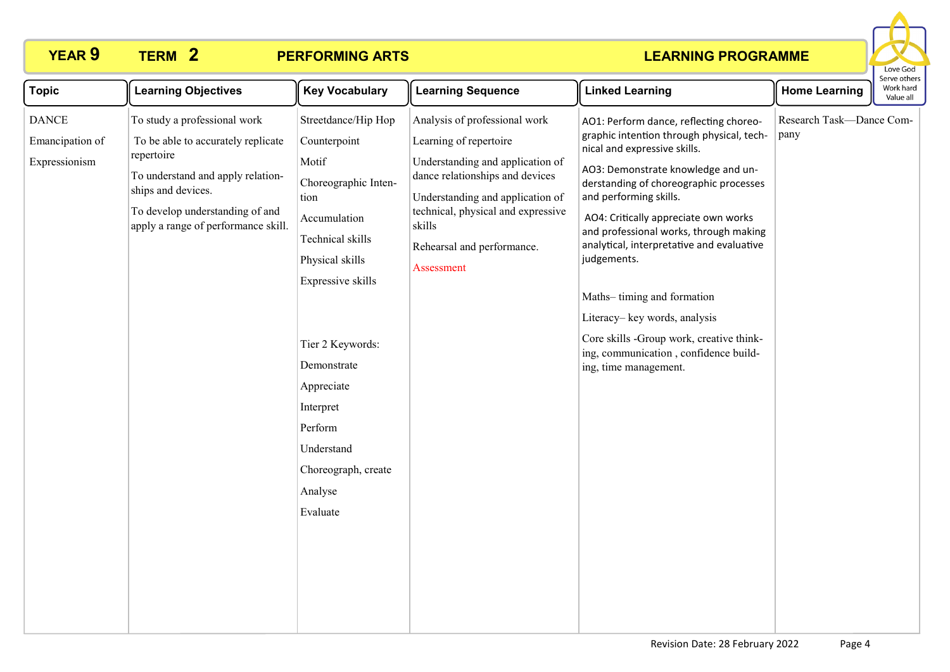# **YEAR 9 TERM 2 PERFORMING ARTS**



| <b>Topic</b>                                     | <b>Learning Objectives</b>                                                                                                                                                                                            | <b>Key Vocabulary</b>                                                                                                                                                                                                                                                                         | <b>Learning Sequence</b>                                                                                                                                                                                                                                       | <b>Linked Learning</b>                                                                                                                                                                                                                                                                                                                                                                                                                                                                                                                                  | <b>Home Learning</b>             | Serve others<br>Work hard<br>Value all |
|--------------------------------------------------|-----------------------------------------------------------------------------------------------------------------------------------------------------------------------------------------------------------------------|-----------------------------------------------------------------------------------------------------------------------------------------------------------------------------------------------------------------------------------------------------------------------------------------------|----------------------------------------------------------------------------------------------------------------------------------------------------------------------------------------------------------------------------------------------------------------|---------------------------------------------------------------------------------------------------------------------------------------------------------------------------------------------------------------------------------------------------------------------------------------------------------------------------------------------------------------------------------------------------------------------------------------------------------------------------------------------------------------------------------------------------------|----------------------------------|----------------------------------------|
| <b>DANCE</b><br>Emancipation of<br>Expressionism | To study a professional work<br>To be able to accurately replicate<br>repertoire<br>To understand and apply relation-<br>ships and devices.<br>To develop understanding of and<br>apply a range of performance skill. | Streetdance/Hip Hop<br>Counterpoint<br>Motif<br>Choreographic Inten-<br>tion<br>Accumulation<br>Technical skills<br>Physical skills<br>Expressive skills<br>Tier 2 Keywords:<br>Demonstrate<br>Appreciate<br>Interpret<br>Perform<br>Understand<br>Choreograph, create<br>Analyse<br>Evaluate | Analysis of professional work<br>Learning of repertoire<br>Understanding and application of<br>dance relationships and devices<br>Understanding and application of<br>technical, physical and expressive<br>skills<br>Rehearsal and performance.<br>Assessment | AO1: Perform dance, reflecting choreo-<br>graphic intention through physical, tech-<br>nical and expressive skills.<br>AO3: Demonstrate knowledge and un-<br>derstanding of choreographic processes<br>and performing skills.<br>AO4: Critically appreciate own works<br>and professional works, through making<br>analytical, interpretative and evaluative<br>judgements.<br>Maths-timing and formation<br>Literacy-key words, analysis<br>Core skills -Group work, creative think-<br>ing, communication, confidence build-<br>ing, time management. | Research Task-Dance Com-<br>pany |                                        |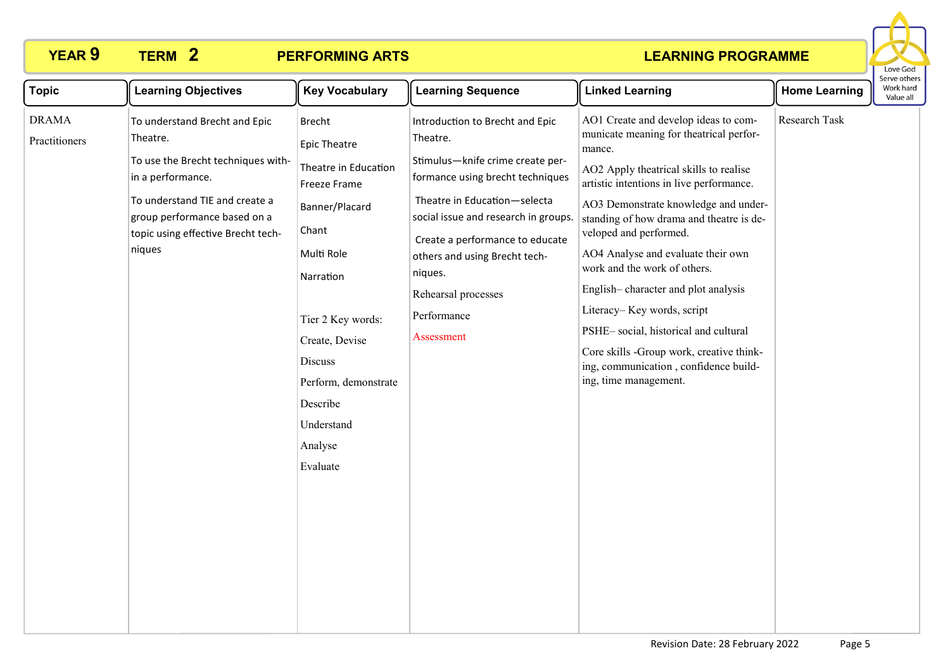## **YEAR 9 TERM 2 PERFORMING ARTS**



| <b>Topic</b>                  | <b>Learning Objectives</b>                                                                                                                                                                                             | <b>Key Vocabulary</b>                                                                                                                                                                                                                                         | <b>Learning Sequence</b>                                                                                                                                                                                                                                                                                                       | <b>Linked Learning</b>                                                                                                                                                                                                                                                                                                                                                                                                                                                                                                                                                                         | <b>Home Learning</b> | וסוויכ טנווכו<br>Work hard<br>Value all |
|-------------------------------|------------------------------------------------------------------------------------------------------------------------------------------------------------------------------------------------------------------------|---------------------------------------------------------------------------------------------------------------------------------------------------------------------------------------------------------------------------------------------------------------|--------------------------------------------------------------------------------------------------------------------------------------------------------------------------------------------------------------------------------------------------------------------------------------------------------------------------------|------------------------------------------------------------------------------------------------------------------------------------------------------------------------------------------------------------------------------------------------------------------------------------------------------------------------------------------------------------------------------------------------------------------------------------------------------------------------------------------------------------------------------------------------------------------------------------------------|----------------------|-----------------------------------------|
| <b>DRAMA</b><br>Practitioners | To understand Brecht and Epic<br>Theatre.<br>To use the Brecht techniques with-<br>in a performance.<br>To understand TIE and create a<br>group performance based on a<br>topic using effective Brecht tech-<br>niques | <b>Brecht</b><br><b>Epic Theatre</b><br>Theatre in Education<br>Freeze Frame<br>Banner/Placard<br>Chant<br>Multi Role<br>Narration<br>Tier 2 Key words:<br>Create, Devise<br>Discuss<br>Perform, demonstrate<br>Describe<br>Understand<br>Analyse<br>Evaluate | Introduction to Brecht and Epic<br>Theatre.<br>Stimulus-knife crime create per-<br>formance using brecht techniques<br>Theatre in Education-selecta<br>social issue and research in groups.<br>Create a performance to educate<br>others and using Brecht tech-<br>niques.<br>Rehearsal processes<br>Performance<br>Assessment | AO1 Create and develop ideas to com-<br>municate meaning for theatrical perfor-<br>mance.<br>AO2 Apply theatrical skills to realise<br>artistic intentions in live performance.<br>AO3 Demonstrate knowledge and under-<br>standing of how drama and theatre is de-<br>veloped and performed.<br>AO4 Analyse and evaluate their own<br>work and the work of others.<br>English-character and plot analysis<br>Literacy-Key words, script<br>PSHE-social, historical and cultural<br>Core skills -Group work, creative think-<br>ing, communication, confidence build-<br>ing, time management. | Research Task        |                                         |
|                               |                                                                                                                                                                                                                        |                                                                                                                                                                                                                                                               |                                                                                                                                                                                                                                                                                                                                |                                                                                                                                                                                                                                                                                                                                                                                                                                                                                                                                                                                                |                      |                                         |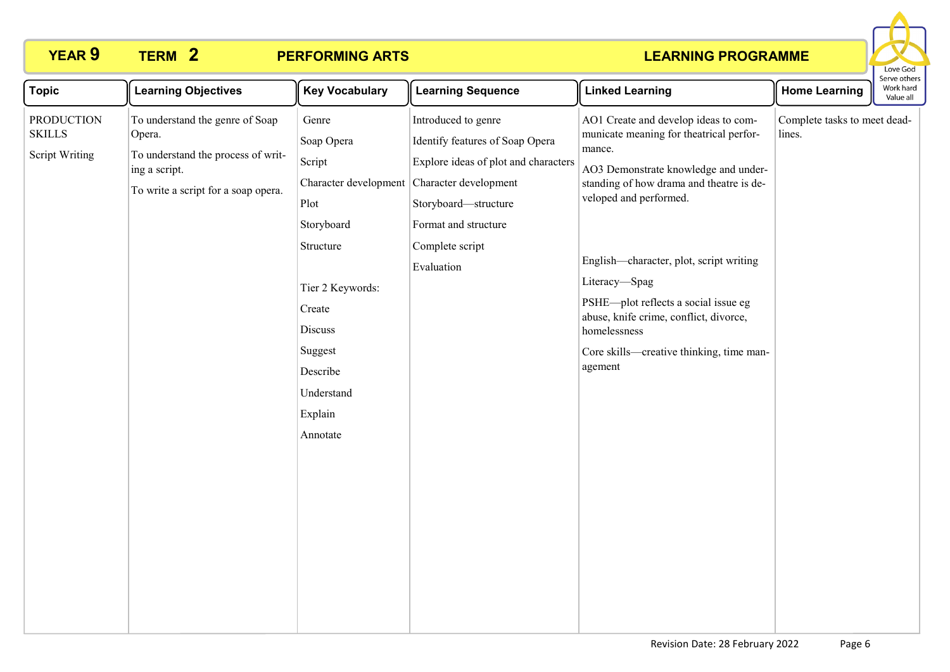## **YEAR 9 TERM 2 PERFORMING ARTS**



| <b>Topic</b>                                                | <b>Learning Objectives</b>                                                                                                              | <b>Key Vocabulary</b>                                                                                                                                                                          | <b>Learning Sequence</b>                                                                                                                                                                                 | <b>Linked Learning</b>                                                                                                                                                                                                                                                                                                                                                                                                       | <b>Home Learning</b>                   | erve other:<br>Work hard<br>Value all |
|-------------------------------------------------------------|-----------------------------------------------------------------------------------------------------------------------------------------|------------------------------------------------------------------------------------------------------------------------------------------------------------------------------------------------|----------------------------------------------------------------------------------------------------------------------------------------------------------------------------------------------------------|------------------------------------------------------------------------------------------------------------------------------------------------------------------------------------------------------------------------------------------------------------------------------------------------------------------------------------------------------------------------------------------------------------------------------|----------------------------------------|---------------------------------------|
| <b>PRODUCTION</b><br><b>SKILLS</b><br><b>Script Writing</b> | To understand the genre of Soap<br>Opera.<br>To understand the process of writ-<br>ing a script.<br>To write a script for a soap opera. | Genre<br>Soap Opera<br>Script<br>Character development<br>Plot<br>Storyboard<br>Structure<br>Tier 2 Keywords:<br>Create<br>Discuss<br>Suggest<br>Describe<br>Understand<br>Explain<br>Annotate | Introduced to genre<br>Identify features of Soap Opera<br>Explore ideas of plot and characters<br>Character development<br>Storyboard-structure<br>Format and structure<br>Complete script<br>Evaluation | AO1 Create and develop ideas to com-<br>municate meaning for theatrical perfor-<br>mance.<br>AO3 Demonstrate knowledge and under-<br>standing of how drama and theatre is de-<br>veloped and performed.<br>English-character, plot, script writing<br>Literacy-Spag<br>PSHE-plot reflects a social issue eg<br>abuse, knife crime, conflict, divorce,<br>homelessness<br>Core skills—creative thinking, time man-<br>agement | Complete tasks to meet dead-<br>lines. |                                       |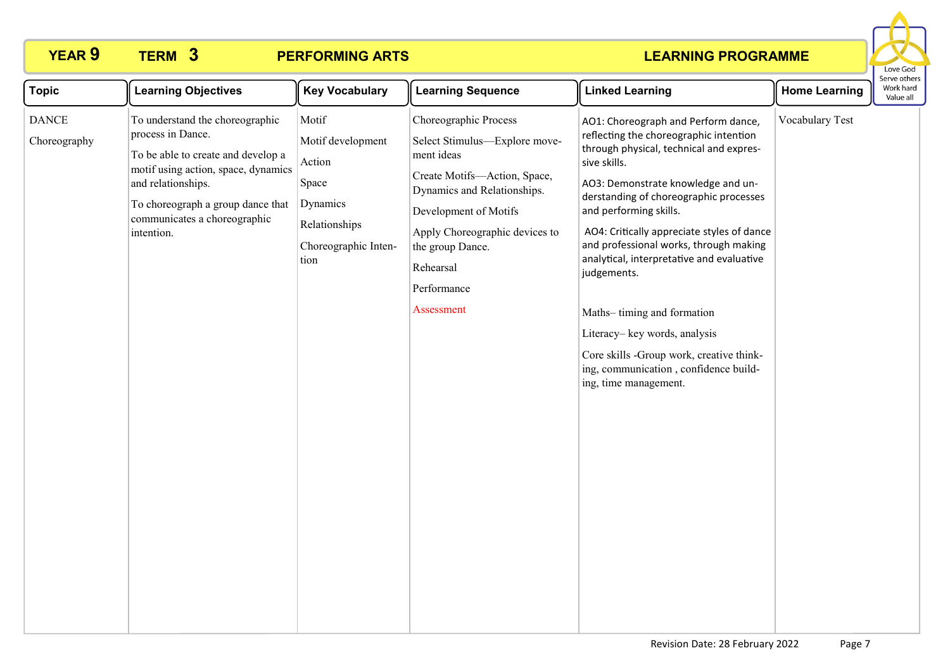# **YEAR 9 TERM 3 PERFORMING ARTS**



| <b>Topic</b>                 | <b>Learning Objectives</b>                                                                                                                                                                                                                 | <b>Key Vocabulary</b>                                                                                      | <b>Learning Sequence</b>                                                                                                                                                                                                                                     | <b>Linked Learning</b>                                                                                                                                                                                                                                                                                                                                                                                                                                                                                                                                                             | <b>Home Learning</b> | Serve others<br>Work hard<br>Value all |
|------------------------------|--------------------------------------------------------------------------------------------------------------------------------------------------------------------------------------------------------------------------------------------|------------------------------------------------------------------------------------------------------------|--------------------------------------------------------------------------------------------------------------------------------------------------------------------------------------------------------------------------------------------------------------|------------------------------------------------------------------------------------------------------------------------------------------------------------------------------------------------------------------------------------------------------------------------------------------------------------------------------------------------------------------------------------------------------------------------------------------------------------------------------------------------------------------------------------------------------------------------------------|----------------------|----------------------------------------|
| <b>DANCE</b><br>Choreography | To understand the choreographic<br>process in Dance.<br>To be able to create and develop a<br>motif using action, space, dynamics<br>and relationships.<br>To choreograph a group dance that<br>communicates a choreographic<br>intention. | Motif<br>Motif development<br>Action<br>Space<br>Dynamics<br>Relationships<br>Choreographic Inten-<br>tion | Choreographic Process<br>Select Stimulus-Explore move-<br>ment ideas<br>Create Motifs-Action, Space,<br>Dynamics and Relationships.<br>Development of Motifs<br>Apply Choreographic devices to<br>the group Dance.<br>Rehearsal<br>Performance<br>Assessment | AO1: Choreograph and Perform dance,<br>reflecting the choreographic intention<br>through physical, technical and expres-<br>sive skills.<br>AO3: Demonstrate knowledge and un-<br>derstanding of choreographic processes<br>and performing skills.<br>AO4: Critically appreciate styles of dance<br>and professional works, through making<br>analytical, interpretative and evaluative<br>judgements.<br>Maths-timing and formation<br>Literacy-key words, analysis<br>Core skills -Group work, creative think-<br>ing, communication, confidence build-<br>ing, time management. | Vocabulary Test      |                                        |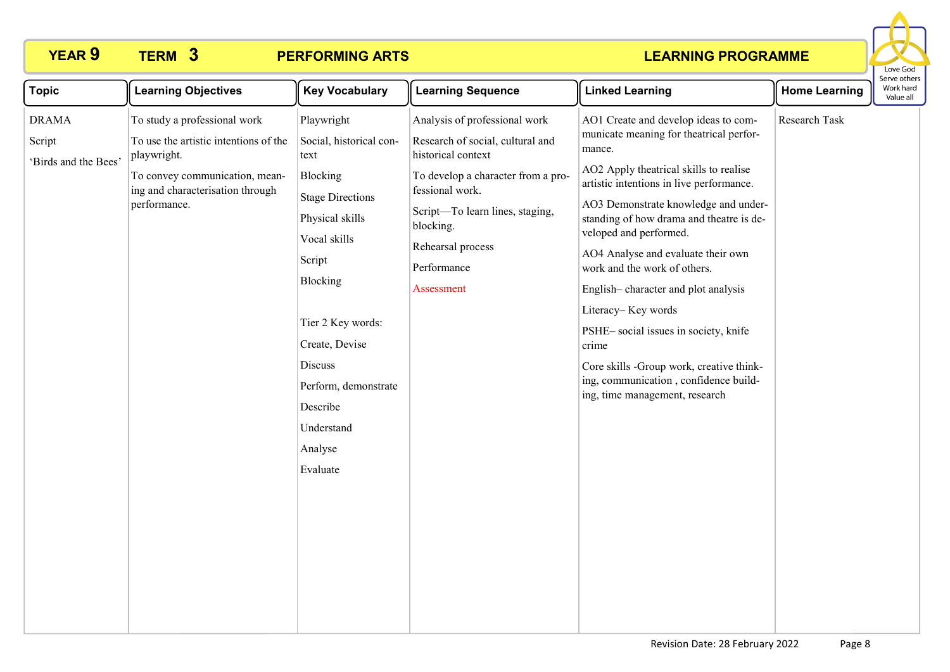## **YEAR 9 TERM 3 PERFORMING ARTS**



| <b>Topic</b>                                   | <b>Learning Objectives</b>                                                                                                                                                 | <b>Key Vocabulary</b>                                                                                                                         | <b>Learning Sequence</b>                                                                                                                                                                                                                           | <b>Linked Learning</b>                                                                                                                                                                                                                                                                                                                                                                                     | <b>Home Learning</b> | Work hard<br>Value all |
|------------------------------------------------|----------------------------------------------------------------------------------------------------------------------------------------------------------------------------|-----------------------------------------------------------------------------------------------------------------------------------------------|----------------------------------------------------------------------------------------------------------------------------------------------------------------------------------------------------------------------------------------------------|------------------------------------------------------------------------------------------------------------------------------------------------------------------------------------------------------------------------------------------------------------------------------------------------------------------------------------------------------------------------------------------------------------|----------------------|------------------------|
| <b>DRAMA</b><br>Script<br>'Birds and the Bees' | To study a professional work<br>To use the artistic intentions of the<br>playwright.<br>To convey communication, mean-<br>ing and characterisation through<br>performance. | Playwright<br>Social, historical con-<br>text<br>Blocking<br><b>Stage Directions</b><br>Physical skills<br>Vocal skills<br>Script<br>Blocking | Analysis of professional work<br>Research of social, cultural and<br>historical context<br>To develop a character from a pro-<br>fessional work.<br>Script-To learn lines, staging,<br>blocking.<br>Rehearsal process<br>Performance<br>Assessment | AO1 Create and develop ideas to com-<br>municate meaning for theatrical perfor-<br>mance.<br>AO2 Apply theatrical skills to realise<br>artistic intentions in live performance.<br>AO3 Demonstrate knowledge and under-<br>standing of how drama and theatre is de-<br>veloped and performed.<br>AO4 Analyse and evaluate their own<br>work and the work of others.<br>English-character and plot analysis | Research Task        | Serve othe             |
|                                                |                                                                                                                                                                            | Tier 2 Key words:<br>Create, Devise<br>Discuss<br>Perform, demonstrate<br>Describe<br>Understand<br>Analyse<br>Evaluate                       |                                                                                                                                                                                                                                                    | Literacy-Key words<br>PSHE-social issues in society, knife<br>crime<br>Core skills -Group work, creative think-<br>ing, communication, confidence build-<br>ing, time management, research                                                                                                                                                                                                                 |                      |                        |